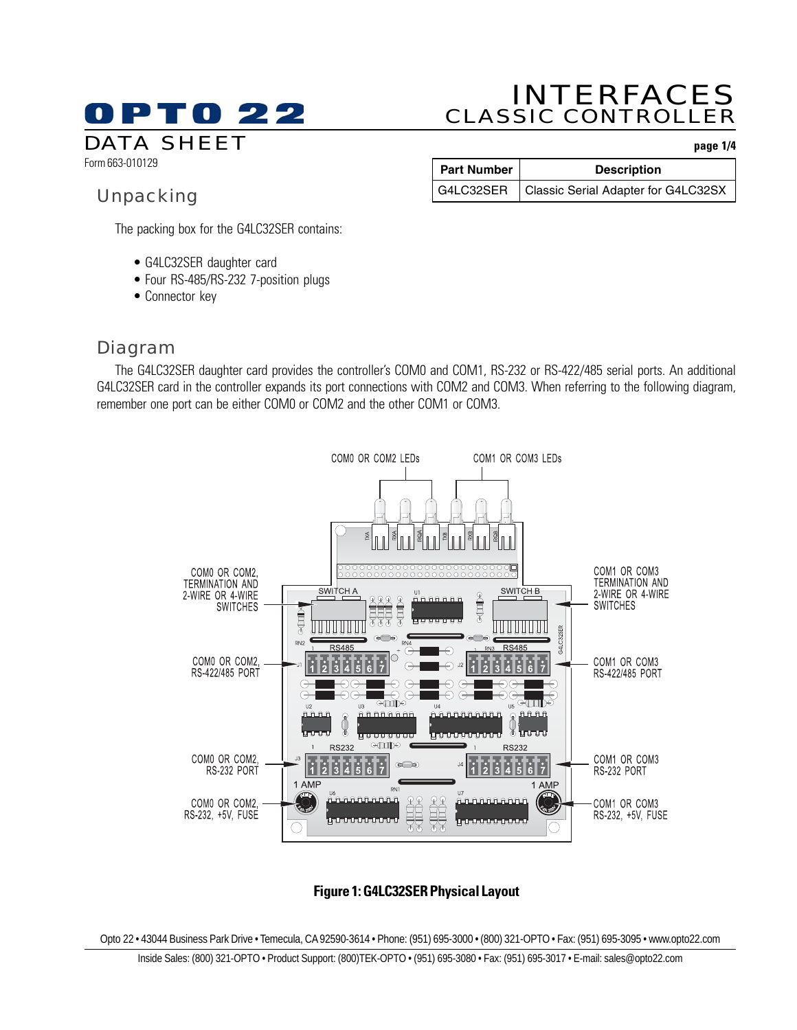# PT0 22 DATA SHEET **page 1/4**

# INTERFACES CLASSIC CONTROLLER

Form 663-010129

# Unpacking

| Part Number | <b>Description</b>                              |
|-------------|-------------------------------------------------|
|             | G4LC32SER   Classic Serial Adapter for G4LC32SX |

The packing box for the G4LC32SER contains:

- G4LC32SER daughter card
- Four RS-485/RS-232 7-position plugs
- Connector key

## Diagram

The G4LC32SER daughter card provides the controller's COM0 and COM1, RS-232 or RS-422/485 serial ports. An additional G4LC32SER card in the controller expands its port connections with COM2 and COM3. When referring to the following diagram, remember one port can be either COM0 or COM2 and the other COM1 or COM3.



### **Figure 1: G4LC32SER Physical Layout**

Opto 22 • 43044 Business Park Drive • Temecula, CA 92590-3614 • Phone: (951) 695-3000 • (800) 321-OPTO • Fax: (951) 695-3095 • www.opto22.com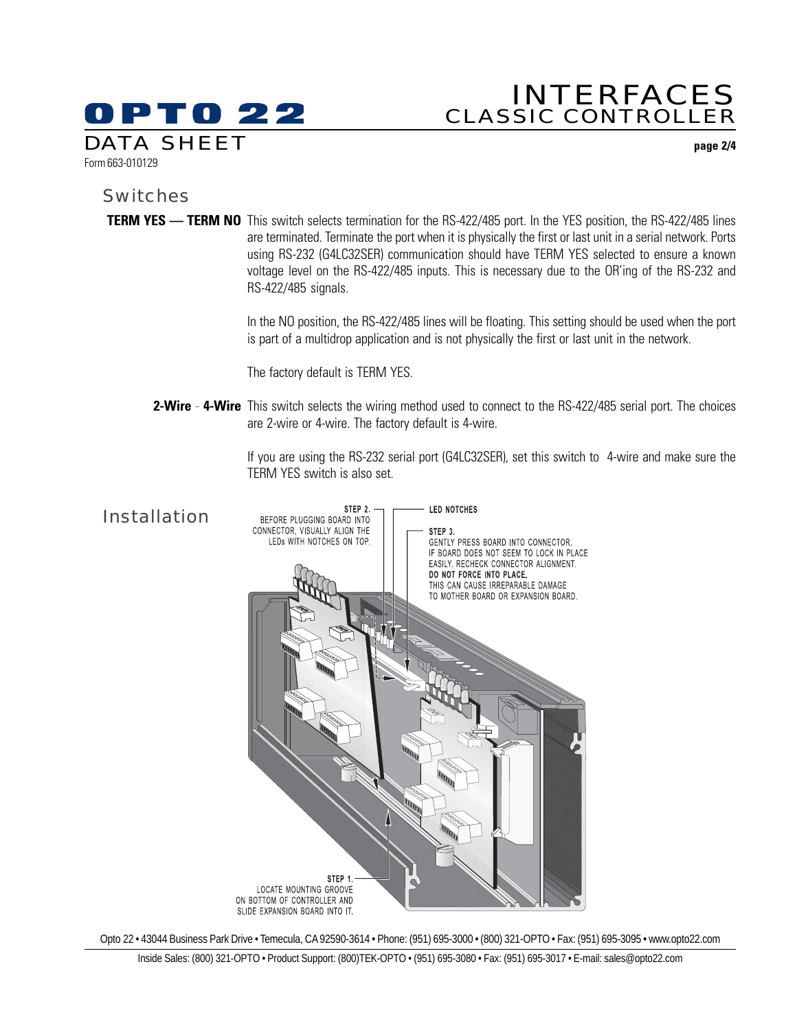# DPT0 22 DATA SHEET **page 2/4**

# INTERFACES CLASSIC CONTROLLER

Form 663-010129

### **Switches**

**TERM YES — TERM NO** This switch selects termination for the RS-422/485 port. In the YES position, the RS-422/485 lines are terminated. Terminate the port when it is physically the first or last unit in a serial network. Ports using RS-232 (G4LC32SER) communication should have TERM YES selected to ensure a known voltage level on the RS-422/485 inputs. This is necessary due to the OR'ing of the RS-232 and RS-422/485 signals.

> In the NO position, the RS-422/485 lines will be floating. This setting should be used when the port is part of a multidrop application and is not physically the first or last unit in the network.

The factory default is TERM YES.

**2-Wire \_ 4-Wire** This switch selects the wiring method used to connect to the RS-422/485 serial port. The choices are 2-wire or 4-wire. The factory default is 4-wire.

> If you are using the RS-232 serial port (G4LC32SER), set this switch to 4-wire and make sure the TERM YES switch is also set.



Opto 22 • 43044 Business Park Drive • Temecula, CA 92590-3614 • Phone: (951) 695-3000 • (800) 321-OPTO • Fax: (951) 695-3095 • www.opto22.com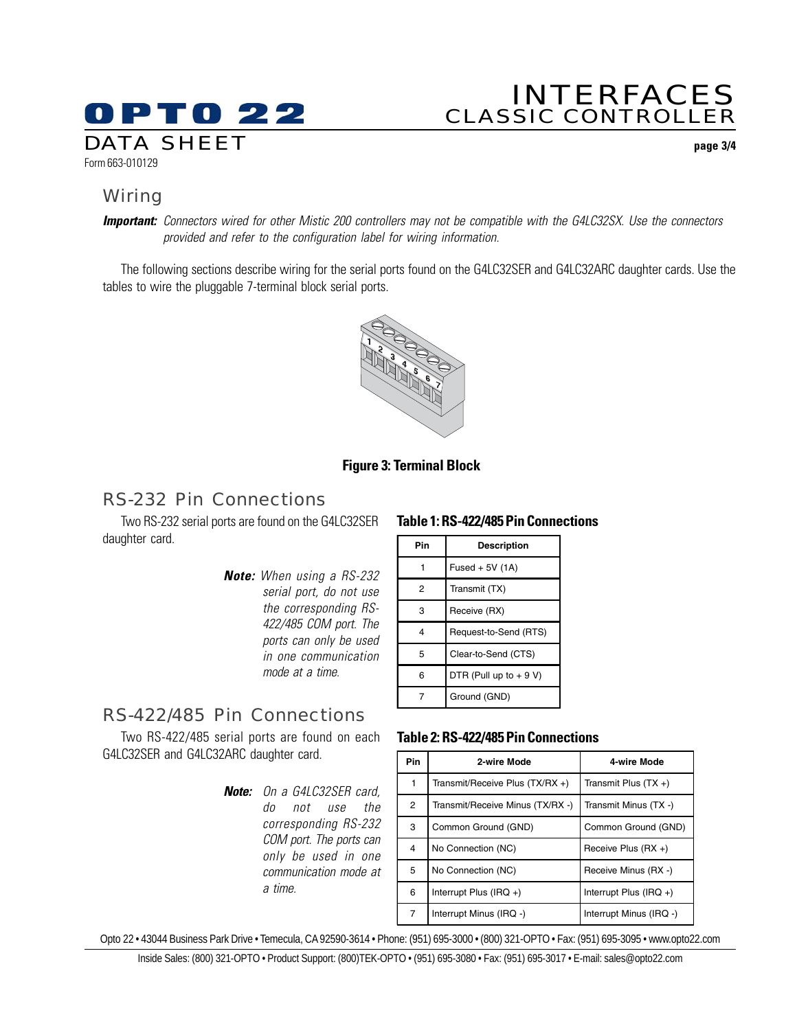# OPTO 22 DATA SHEET **page 3/4** Form 663-010129

# INTERFACES CLASSIC CONTROLLER

## **Wiring**

**Important:** Connectors wired for other Mistic 200 controllers may not be compatible with the G4LC32SX. Use the connectors provided and refer to the configuration label for wiring information.

The following sections describe wiring for the serial ports found on the G4LC32SER and G4LC32ARC daughter cards. Use the tables to wire the pluggable 7-terminal block serial ports.



### **Figure 3: Terminal Block**

### RS-232 Pin Connections

Two RS-232 serial ports are found on the G4LC32SER daughter card.

> **Note:** When using a RS-232 serial port, do not use the corresponding RS-422/485 COM port. The ports can only be used in one communication mode at a time.

### **Table 1: RS-422/485 Pin Connections**

| Pin | <b>Description</b>      |
|-----|-------------------------|
|     | Fused + $5V(1A)$        |
| 2   | Transmit (TX)           |
| 3   | Receive (RX)            |
| 4   | Request-to-Send (RTS)   |
| 5   | Clear-to-Send (CTS)     |
| 6   | DTR (Pull up to $+9$ V) |
| 7   | Ground (GND)            |

## RS-422/485 Pin Connections

Two RS-422/485 serial ports are found on each G4LC32SER and G4LC32ARC daughter card.

> **Note:** On a G4LC32SER card, do not use the corresponding RS-232 COM port. The ports can only be used in one communication mode at a time.

#### **Table 2: RS-422/485 Pin Connections**

| <b>Pin</b>     | 2-wire Mode                      | 4-wire Mode               |
|----------------|----------------------------------|---------------------------|
|                | Transmit/Receive Plus (TX/RX +)  | Transmit Plus $(TX +)$    |
| $\overline{2}$ | Transmit/Receive Minus (TX/RX -) | Transmit Minus (TX -)     |
| 3              | Common Ground (GND)              | Common Ground (GND)       |
| 4              | No Connection (NC)               | Receive Plus $(RX +)$     |
| 5              | No Connection (NC)               | Receive Minus (RX -)      |
| 6              | Interrupt Plus (IRQ $+$ )        | Interrupt Plus (IRQ $+$ ) |
| 7              | Interrupt Minus (IRQ -)          | Interrupt Minus (IRQ -)   |

Opto 22 • 43044 Business Park Drive • Temecula, CA 92590-3614 • Phone: (951) 695-3000 • (800) 321-OPTO • Fax: (951) 695-3095 • www.opto22.com

Inside Sales: (800) 321-OPTO • Product Support: (800)TEK-OPTO • (951) 695-3080 • Fax: (951) 695-3017 • E-mail: sales@opto22.com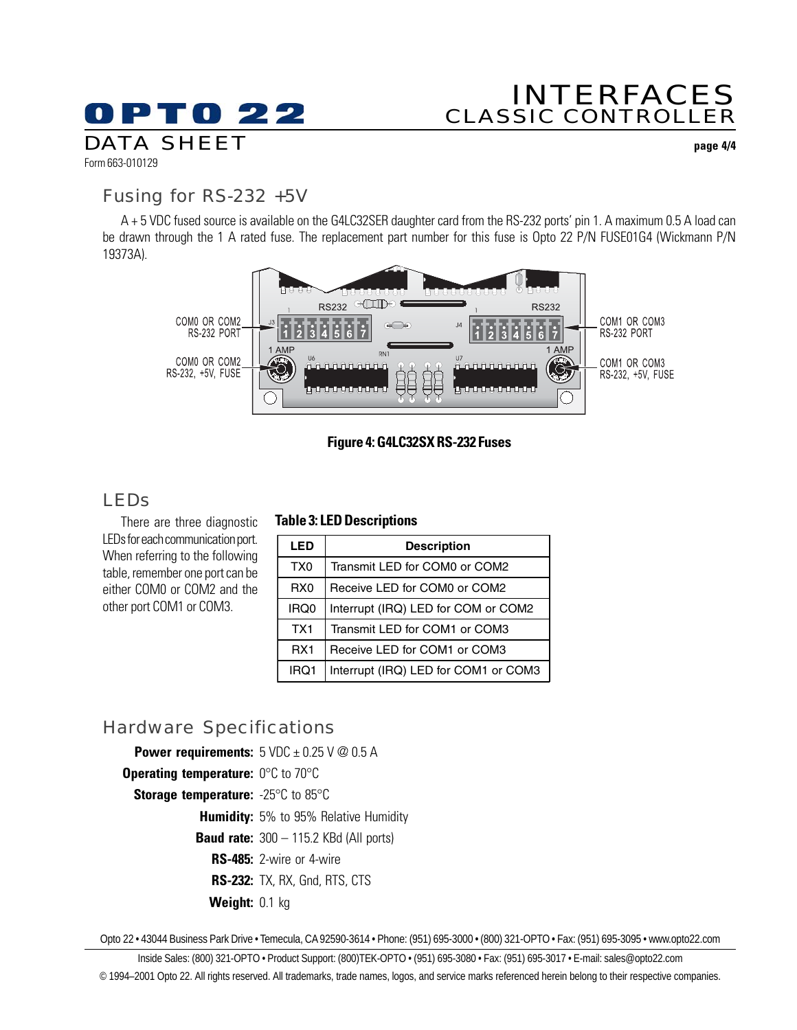# INTERFACES CLASSIC CONTROLLER

Form 663-010129 DATA SHEET **page 4/4**

## Fusing for RS-232 +5V

**OPTO 22** 

A + 5 VDC fused source is available on the G4LC32SER daughter card from the RS-232 ports' pin 1. A maximum 0.5 A load can be drawn through the 1 A rated fuse. The replacement part number for this fuse is Opto 22 P/N FUSE01G4 (Wickmann P/N 19373A).



### **Figure 4: G4LC32SX RS-232 Fuses**

## LEDs

There are three diagnostic LEDs for each communication port. When referring to the following table, remember one port can be either COM0 or COM2 and the other port COM1 or COM3.

### **Table 3: LED Descriptions**

| <b>LED</b>      | <b>Description</b>                   |
|-----------------|--------------------------------------|
| TX <sub>0</sub> | Transmit LED for COM0 or COM2        |
| RX <sub>0</sub> | Receive LED for COM0 or COM2         |
| IRQ0            | Interrupt (IRQ) LED for COM or COM2  |
| TX <sub>1</sub> | Transmit LED for COM1 or COM3        |
| RX <sub>1</sub> | Receive LED for COM1 or COM3         |
| IRQ1            | Interrupt (IRQ) LED for COM1 or COM3 |

## Hardware Specifications

**Power requirements:**  $5 \text{ VDC} \pm 0.25 \text{ V} \textcircled{2} 0.5 \text{ A}$ 

- **Operating temperature:** 0°C to 70°C
	- **Storage temperature:** -25°C to 85°C

**Humidity:** 5% to 95% Relative Humidity

**Baud rate:** 300 – 115.2 KBd (All ports)

**RS-485:** 2-wire or 4-wire

**RS-232:** TX, RX, Gnd, RTS, CTS

**Weight:** 0.1 kg

Opto 22 • 43044 Business Park Drive • Temecula, CA 92590-3614 • Phone: (951) 695-3000 • (800) 321-OPTO • Fax: (951) 695-3095 • www.opto22.com